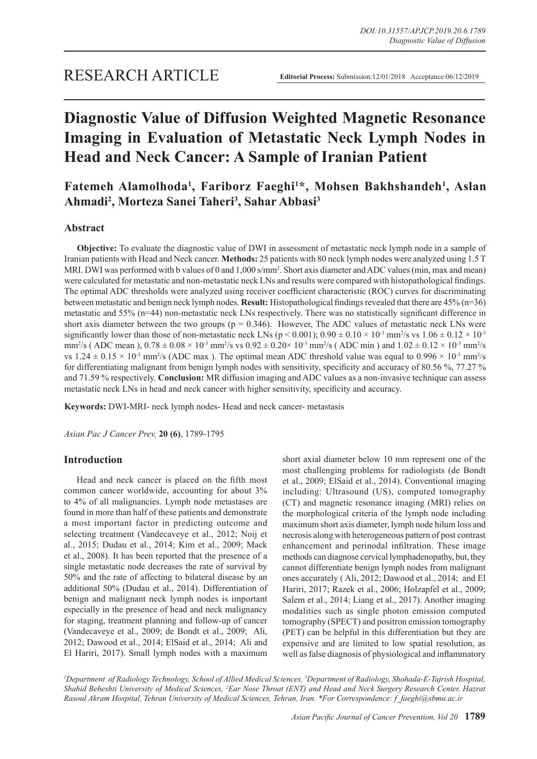# **Diagnostic Value of Diffusion Weighted Magnetic Resonance Imaging in Evaluation of Metastatic Neck Lymph Nodes in Head and Neck Cancer: A Sample of Iranian Patient**

Fatemeh Alamolhoda<sup>1</sup>, Fariborz Faeghi<sup>1\*</sup>, Mohsen Bakhshandeh<sup>1</sup>, Aslan **Ahmadi2 , Morteza Sanei Taheri3 , Sahar Abbasi3**

# **Abstract**

**Objective:** To evaluate the diagnostic value of DWI in assessment of metastatic neck lymph node in a sample of Iranian patients with Head and Neck cancer. **Methods:** 25 patients with 80 neck lymph nodes were analyzed using 1.5 T MRI. DWI was performed with b values of 0 and 1,000 s/mm<sup>2</sup>. Short axis diameter and ADC values (min, max and mean) were calculated for metastatic and non-metastatic neck LNs and results were compared with histopathological findings. The optimal ADC thresholds were analyzed using receiver coefficient characteristic (ROC) curves for discriminating between metastatic and benign neck lymph nodes. **Result:** Histopathological findings revealed that there are 45% (n=36) metastatic and 55% (n=44) non-metastatic neck LNs respectively. There was no statistically significant difference in short axis diameter between the two groups ( $p = 0.346$ ). However, The ADC values of metastatic neck LNs were significantly lower than those of non-metastatic neck LNs ( $p < 0.001$ );  $0.90 \pm 0.10 \times 10^{3}$  mm<sup>2</sup>/s vs  $1.06 \pm 0.12 \times 10^{3}$ mm<sup>2</sup>/s (ADC mean),  $0.78 \pm 0.08 \times 10^{-3}$  mm<sup>2</sup>/s vs  $0.92 \pm 0.20 \times 10^{-3}$  mm<sup>2</sup>/s (ADC min) and  $1.02 \pm 0.12 \times 10^{-3}$  mm<sup>2</sup>/s vs  $1.24 \pm 0.15 \times 10^{-3}$  mm<sup>2</sup>/s (ADC max). The optimal mean ADC threshold value was equal to  $0.996 \times 10^{-3}$  mm<sup>2</sup>/s for differentiating malignant from benign lymph nodes with sensitivity, specificity and accuracy of 80.56 %, 77.27 % and 71.59 % respectively. **Conclusion:** MR diffusion imaging and ADC values as a non-invasive technique can assess metastatic neck LNs in head and neck cancer with higher sensitivity, specificity and accuracy.

**Keywords:** DWI-MRI- neck lymph nodes- Head and neck cancer- metastasis

*Asian Pac J Cancer Prev,* **20 (6)**, 1789-1795

# **Introduction**

Head and neck cancer is placed on the fifth most common cancer worldwide, accounting for about 3% to 4% of all malignancies. Lymph node metastases are found in more than half of these patients and demonstrate a most important factor in predicting outcome and selecting treatment (Vandecaveye et al., 2012; Noij et al., 2015; Dudau et al., 2014; Kim et al., 2009; Mack et al., 2008). It has been reported that the presence of a single metastatic node decreases the rate of survival by 50% and the rate of affecting to bilateral disease by an additional 50% (Dudau et al., 2014). Differentiation of benign and malignant neck lymph nodes is important especially in the presence of head and neck malignancy for staging, treatment planning and follow-up of cancer (Vandecaveye et al., 2009; de Bondt et al., 2009; Ali, 2012; Dawood et al., 2014; ElSaid et al., 2014; Ali and El Hariri, 2017). Small lymph nodes with a maximum

short axial diameter below 10 mm represent one of the most challenging problems for radiologists (de Bondt et al., 2009; ElSaid et al., 2014). Conventional imaging including: Ultrasound (US), computed tomography (CT) and magnetic resonance imaging (MRI) relies on the morphological criteria of the lymph node including maximum short axis diameter, lymph node hilum loss and necrosis along with heterogeneous pattern of post contrast enhancement and perinodal infiltration. These image methods can diagnose cervical lymphadenopathy, but, they cannot differentiate benign lymph nodes from malignant ones accurately ( Ali, 2012; Dawood et al., 2014; and El Hariri, 2017; Razek et al., 2006; Holzapfel et al., 2009; Salem et al., 2014; Liang et al., 2017). Another imaging modalities such as single photon emission computed tomography (SPECT) and positron emission tomography (PET) can be helpful in this differentiation but they are expensive and are limited to low spatial resolution, as well as false diagnosis of physiological and inflammatory

*1 Department of Radiology Technology, School of Allied Medical Sciences, 3 Department of Radiology, Shohada-E-Tajrish Hospital, Shahid Beheshti University of Medical Sciences, 2 Ear Nose Throat (ENT) and Head and Neck Surgery Research Center, Hazrat Rasoul Akram Hospital, Tehran University of Medical Sciences, Tehran, Iran. \*For Correspondence: f\_faeghi@sbmu.ac.ir*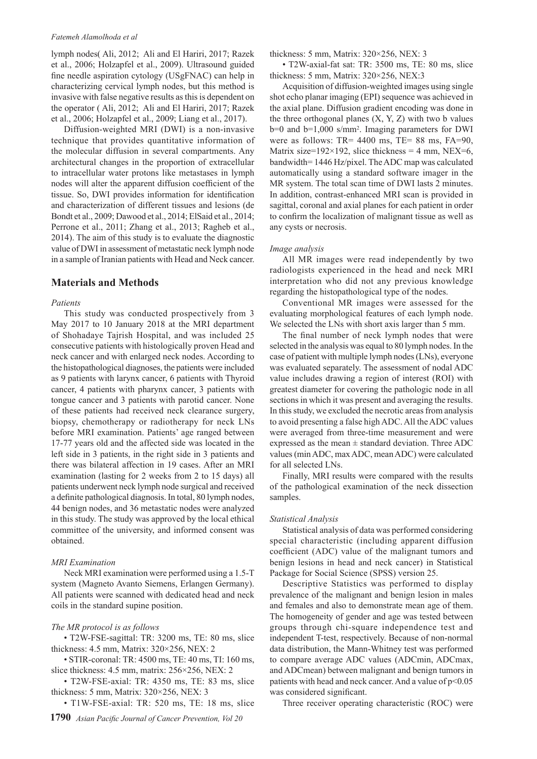#### *Fatemeh Alamolhoda et al*

lymph nodes( Ali, 2012; Ali and El Hariri, 2017; Razek et al., 2006; Holzapfel et al., 2009). Ultrasound guided fine needle aspiration cytology (USgFNAC) can help in characterizing cervical lymph nodes, but this method is invasive with false negative results as this is dependent on the operator ( Ali, 2012; Ali and El Hariri, 2017; Razek et al., 2006; Holzapfel et al., 2009; Liang et al., 2017).

Diffusion-weighted MRI (DWI) is a non-invasive technique that provides quantitative information of the molecular diffusion in several compartments. Any architectural changes in the proportion of extracellular to intracellular water protons like metastases in lymph nodes will alter the apparent diffusion coefficient of the tissue. So, DWI provides information for identification and characterization of different tissues and lesions (de Bondt et al., 2009; Dawood et al., 2014; ElSaid et al., 2014; Perrone et al., 2011; Zhang et al., 2013; Ragheb et al., 2014). The aim of this study is to evaluate the diagnostic value of DWI in assessment of metastatic neck lymph node in a sample of Iranian patients with Head and Neck cancer.

# **Materials and Methods**

#### *Patients*

This study was conducted prospectively from 3 May 2017 to 10 January 2018 at the MRI department of Shohadaye Tajrish Hospital, and was included 25 consecutive patients with histologically proven Head and neck cancer and with enlarged neck nodes. According to the histopathological diagnoses, the patients were included as 9 patients with larynx cancer, 6 patients with Thyroid cancer, 4 patients with pharynx cancer, 3 patients with tongue cancer and 3 patients with parotid cancer. None of these patients had received neck clearance surgery, biopsy, chemotherapy or radiotherapy for neck LNs before MRI examination. Patients' age ranged between 17-77 years old and the affected side was located in the left side in 3 patients, in the right side in 3 patients and there was bilateral affection in 19 cases. After an MRI examination (lasting for 2 weeks from 2 to 15 days) all patients underwent neck lymph node surgical and received a definite pathological diagnosis. In total, 80 lymph nodes, 44 benign nodes, and 36 metastatic nodes were analyzed in this study. The study was approved by the local ethical committee of the university, and informed consent was obtained.

## *MRI Examination*

Neck MRI examination were performed using a 1.5-T system (Magneto Avanto Siemens, Erlangen Germany). All patients were scanned with dedicated head and neck coils in the standard supine position.

## *The MR protocol is as follows*

• T2W-FSE-sagittal: TR: 3200 ms, TE: 80 ms, slice thickness: 4.5 mm, Matrix: 320×256, NEX: 2

• STIR-coronal: TR: 4500 ms, TE: 40 ms, TI: 160 ms, slice thickness: 4.5 mm, matrix: 256×256, NEX: 2

• T2W-FSE-axial: TR: 4350 ms, TE: 83 ms, slice thickness: 5 mm, Matrix: 320×256, NEX: 3

• T1W-FSE-axial: TR: 520 ms, TE: 18 ms, slice

thickness: 5 mm, Matrix: 320×256, NEX: 3

• T2W-axial-fat sat: TR: 3500 ms, TE: 80 ms, slice thickness: 5 mm, Matrix: 320×256, NEX:3

Acquisition of diffusion-weighted images using single shot echo planar imaging (EPI) sequence was achieved in the axial plane. Diffusion gradient encoding was done in the three orthogonal planes  $(X, Y, Z)$  with two b values b=0 and b=1,000 s/mm2 . Imaging parameters for DWI were as follows: TR= 4400 ms, TE= 88 ms, FA=90, Matrix size=192×192, slice thickness = 4 mm, NEX=6, bandwidth= 1446 Hz/pixel. The ADC map was calculated automatically using a standard software imager in the MR system. The total scan time of DWI lasts 2 minutes. In addition, contrast-enhanced MRI scan is provided in sagittal, coronal and axial planes for each patient in order to confirm the localization of malignant tissue as well as any cysts or necrosis.

#### *Image analysis*

All MR images were read independently by two radiologists experienced in the head and neck MRI interpretation who did not any previous knowledge regarding the histopathological type of the nodes.

Conventional MR images were assessed for the evaluating morphological features of each lymph node. We selected the LNs with short axis larger than 5 mm.

The final number of neck lymph nodes that were selected in the analysis was equal to 80 lymph nodes. In the case of patient with multiple lymph nodes (LNs), everyone was evaluated separately. The assessment of nodal ADC value includes drawing a region of interest (ROI) with greatest diameter for covering the pathologic node in all sections in which it was present and averaging the results. In this study, we excluded the necrotic areas from analysis to avoid presenting a false high ADC. All the ADC values were averaged from three-time measurement and were expressed as the mean  $\pm$  standard deviation. Three ADC values (min ADC, max ADC, mean ADC) were calculated for all selected LNs.

Finally, MRI results were compared with the results of the pathological examination of the neck dissection samples.

#### *Statistical Analysis*

Statistical analysis of data was performed considering special characteristic (including apparent diffusion coefficient (ADC) value of the malignant tumors and benign lesions in head and neck cancer) in Statistical Package for Social Science (SPSS) version 25.

Descriptive Statistics was performed to display prevalence of the malignant and benign lesion in males and females and also to demonstrate mean age of them. The homogeneity of gender and age was tested between groups through chi-square independence test and independent T-test, respectively. Because of non-normal data distribution, the Mann-Whitney test was performed to compare average ADC values (ADCmin, ADCmax, and ADCmean) between malignant and benign tumors in patients with head and neck cancer. And a value of  $p<0.05$ was considered significant.

Three receiver operating characteristic (ROC) were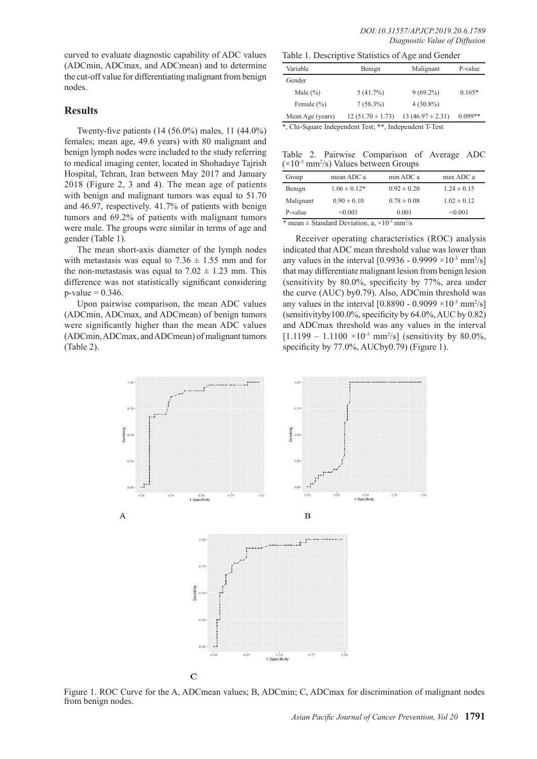curved to evaluate diagnostic capability of ADC values (ADCmin, ADCmax, and ADCmean) and to determine the cut-off value for differentiating malignant from benign nodes.

# **Results**

Twenty-five patients (14 (56.0%) males, 11 (44.0%) females; mean age, 49.6 years) with 80 malignant and benign lymph nodes were included to the study referring to medical imaging center, located in Shohadaye Tajrish Hospital, Tehran, Iran between May 2017 and January 2018 (Figure 2, 3 and 4). The mean age of patients with benign and malignant tumors was equal to 51.70 and 46.97, respectively. 41.7% of patients with benign tumors and 69.2% of patients with malignant tumors were male. The groups were similar in terms of age and gender (Table 1).

The mean short-axis diameter of the lymph nodes with metastasis was equal to  $7.36 \pm 1.55$  mm and for the non-metastasis was equal to  $7.02 \pm 1.23$  mm. This difference was not statistically significant considering  $p-value = 0.346$ .

Upon pairwise comparison, the mean ADC values (ADCmin, ADCmax, and ADCmean) of benign tumors were significantly higher than the mean ADC values (ADCmin, ADCmax, and ADCmean) of malignant tumors (Table 2).

Table 1. Descriptive Statistics of Age and Gender

| TWOTE IT DESCRIPTION ORWANDED OF FILE WITH OWNERS. |                      |                                                                                                                                                                                                                                |           |  |
|----------------------------------------------------|----------------------|--------------------------------------------------------------------------------------------------------------------------------------------------------------------------------------------------------------------------------|-----------|--|
| Variable                                           | Benign               | Malignant                                                                                                                                                                                                                      | P-value   |  |
| Gender                                             |                      |                                                                                                                                                                                                                                |           |  |
| Male $(\% )$                                       | 5(41.7%)             | $9(69.2\%)$                                                                                                                                                                                                                    | $0.165*$  |  |
| Female $(\% )$                                     | $7(58.3\%)$          | $4(30.8\%)$                                                                                                                                                                                                                    |           |  |
| Mean Age (years)                                   | $12(51.70 \pm 1.73)$ | $13(46.97 \pm 2.31)$                                                                                                                                                                                                           | $0.099**$ |  |
| .<br>- -                                           | .                    | a company of the company of the company of the company of the company of the company of the company of the company of the company of the company of the company of the company of the company of the company of the company of |           |  |

\*, Chi-Square Independent Test; \*\*, Independent T-Test

Table 2. Pairwise Comparison of Average ADC  $(\times 10^{-3} \text{ mm}^2/\text{s})$  Values between Groups

| Group                                                               | mean ADC a       | min ADC a       | max ADC a       |  |
|---------------------------------------------------------------------|------------------|-----------------|-----------------|--|
| Benign                                                              | $1.06 \pm 0.12*$ | $0.92 \pm 0.20$ | $1.24 \pm 0.15$ |  |
| Malignant                                                           | $0.90 \pm 0.10$  | $0.78 \pm 0.08$ | $1.02 \pm 0.12$ |  |
| P-value                                                             | < 0.001          | 0.001           | < 0.001         |  |
| $*$ mean + Standard Deviation a $\times 10^{-3}$ mm <sup>2</sup> /s |                  |                 |                 |  |

\* mean  $\pm$  Standard Deviation, a,  $\times 10^{-3}$  mm<sup>2</sup> /s

Receiver operating characteristics (ROC) analysis indicated that ADC mean threshold value was lower than any values in the interval [0.9936 - 0.9999  $\times$ 10<sup>-3</sup> mm<sup>2</sup>/s] that may differentiate malignant lesion from benign lesion (sensitivity by 80.0%, specificity by 77%, area under the curve (AUC) by0.79). Also, ADCmin threshold was any values in the interval  $[0.8890 - 0.9099 \times 10^{-3} \text{ mm}^2/\text{s}]$ (sensitivityby100.0%, specificity by 64.0%, AUC by 0.82) and ADCmax threshold was any values in the interval  $[1.1199 - 1.1100 \times 10^{-3} \text{ mm}^2/\text{s}]$  (sensitivity by 80.0%, specificity by 77.0%, AUCby0.79) (Figure 1).



Figure 1. ROC Curve for the A, ADCmean values; B, ADCmin; C, ADCmax for discrimination of malignant nodes from benign nodes.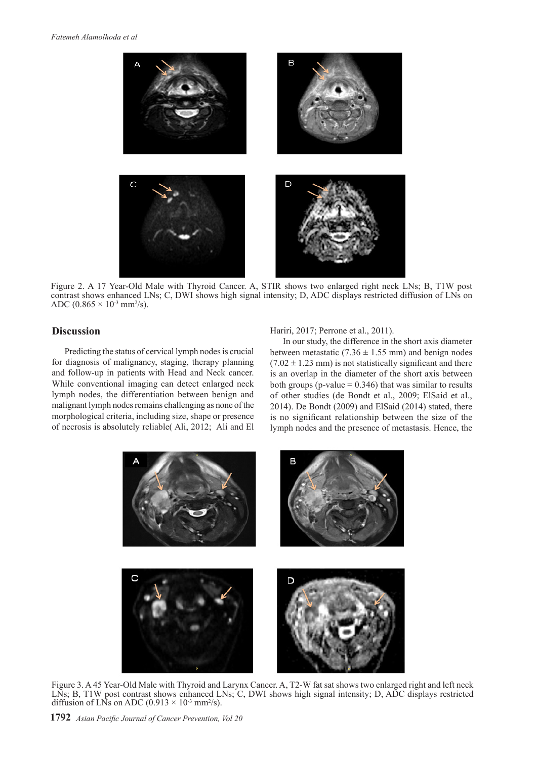

Figure 2. A 17 Year-Old Male with Thyroid Cancer. A, STIR shows two enlarged right neck LNs; B, T1W post contrast shows enhanced LNs; C, DWI shows high signal intensity; D, ADC displays restricted diffusion of LNs on ADC  $(0.865 \times 10^{3} \text{ mm}^2/\text{s})$ .

# **Discussion**

Predicting the status of cervical lymph nodes is crucial for diagnosis of malignancy, staging, therapy planning and follow-up in patients with Head and Neck cancer. While conventional imaging can detect enlarged neck lymph nodes, the differentiation between benign and malignant lymph nodes remains challenging as none of the morphological criteria, including size, shape or presence of necrosis is absolutely reliable( Ali, 2012; Ali and El

Hariri, 2017; Perrone et al., 2011).

In our study, the difference in the short axis diameter between metastatic (7.36  $\pm$  1.55 mm) and benign nodes  $(7.02 \pm 1.23 \text{ mm})$  is not statistically significant and there is an overlap in the diameter of the short axis between both groups ( $p$ -value = 0.346) that was similar to results of other studies (de Bondt et al., 2009; ElSaid et al., 2014). De Bondt (2009) and ElSaid (2014) stated, there is no significant relationship between the size of the lymph nodes and the presence of metastasis. Hence, the



Figure 3. A 45 Year-Old Male with Thyroid and Larynx Cancer. A, T2-W fat sat shows two enlarged right and left neck LNs; B, T1W post contrast shows enhanced LNs; C, DWI shows high signal intensity; D, ADC displays restricted diffusion of LNs on ADC  $(0.913 \times 10^{-3} \text{ mm}^2/\text{s})$ .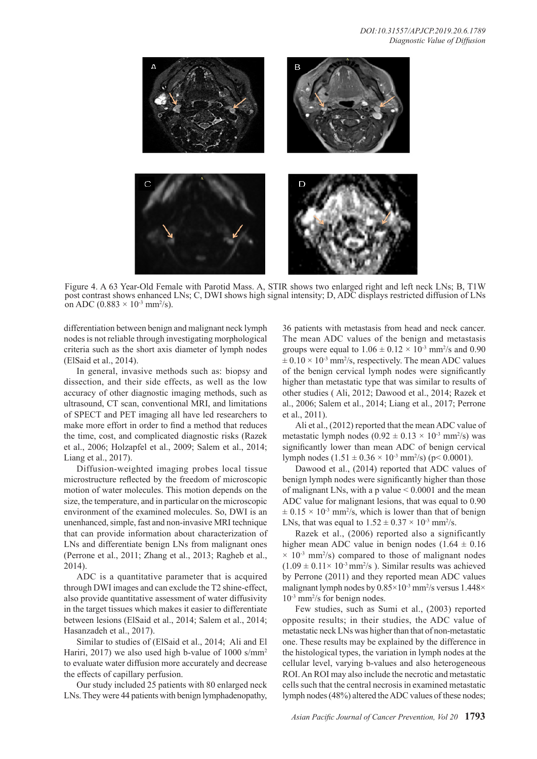

Figure 4. A 63 Year-Old Female with Parotid Mass. A, STIR shows two enlarged right and left neck LNs; B, T1W post contrast shows enhanced LNs; C, DWI shows high signal intensity; D, ADC displays restricted diffusion of LNs on ADC (0.883  $\times$  10<sup>-3</sup> mm<sup>2</sup>/s).

differentiation between benign and malignant neck lymph nodes is not reliable through investigating morphological criteria such as the short axis diameter of lymph nodes (ElSaid et al., 2014).

In general, invasive methods such as: biopsy and dissection, and their side effects, as well as the low accuracy of other diagnostic imaging methods, such as ultrasound, CT scan, conventional MRI, and limitations of SPECT and PET imaging all have led researchers to make more effort in order to find a method that reduces the time, cost, and complicated diagnostic risks (Razek et al., 2006; Holzapfel et al., 2009; Salem et al., 2014; Liang et al., 2017).

Diffusion-weighted imaging probes local tissue microstructure reflected by the freedom of microscopic motion of water molecules. This motion depends on the size, the temperature, and in particular on the microscopic environment of the examined molecules. So, DWI is an unenhanced, simple, fast and non-invasive MRI technique that can provide information about characterization of LNs and differentiate benign LNs from malignant ones (Perrone et al., 2011; Zhang et al., 2013; Ragheb et al., 2014).

ADC is a quantitative parameter that is acquired through DWI images and can exclude the T2 shine-effect, also provide quantitative assessment of water diffusivity in the target tissues which makes it easier to differentiate between lesions (ElSaid et al., 2014; Salem et al., 2014; Hasanzadeh et al., 2017).

Similar to studies of (ElSaid et al., 2014; Ali and El Hariri, 2017) we also used high b-value of 1000 s/mm<sup>2</sup> to evaluate water diffusion more accurately and decrease the effects of capillary perfusion.

Our study included 25 patients with 80 enlarged neck LNs. They were 44 patients with benign lymphadenopathy,

36 patients with metastasis from head and neck cancer. The mean ADC values of the benign and metastasis groups were equal to  $1.06 \pm 0.12 \times 10^{-3}$  mm<sup>2</sup>/s and 0.90  $\pm$  0.10  $\times$  10<sup>-3</sup> mm<sup>2</sup>/s, respectively. The mean ADC values of the benign cervical lymph nodes were significantly higher than metastatic type that was similar to results of other studies ( Ali, 2012; Dawood et al., 2014; Razek et al., 2006; Salem et al., 2014; Liang et al., 2017; Perrone et al., 2011).

Ali et al., (2012) reported that the mean ADC value of metastatic lymph nodes  $(0.92 \pm 0.13 \times 10^{3} \text{ mm}^2/\text{s})$  was significantly lower than mean ADC of benign cervical lymph nodes  $(1.51 \pm 0.36 \times 10^{3} \text{ mm}^2/\text{s})$  (p< 0.0001).

Dawood et al., (2014) reported that ADC values of benign lymph nodes were significantly higher than those of malignant LNs, with a p value  $\leq 0.0001$  and the mean ADC value for malignant lesions, that was equal to 0.90  $\pm$  0.15  $\times$  10<sup>-3</sup> mm<sup>2</sup>/s, which is lower than that of benign LNs, that was equal to  $1.52 \pm 0.37 \times 10^{-3}$  mm<sup>2</sup>/s.

Razek et al., (2006) reported also a significantly higher mean ADC value in benign nodes  $(1.64 \pm 0.16$  $\times$  10<sup>-3</sup> mm<sup>2</sup>/s) compared to those of malignant nodes  $(1.09 \pm 0.11 \times 10^{-3} \text{ mm}^2/\text{s})$ . Similar results was achieved by Perrone (2011) and they reported mean ADC values malignant lymph nodes by  $0.85 \times 10^{-3}$  mm<sup>2</sup>/s versus  $1.448 \times$ 10-3 mm2 /s for benign nodes.

Few studies, such as Sumi et al., (2003) reported opposite results; in their studies, the ADC value of metastatic neck LNs was higher than that of non-metastatic one. These results may be explained by the difference in the histological types, the variation in lymph nodes at the cellular level, varying b-values and also heterogeneous ROI. An ROI may also include the necrotic and metastatic cells such that the central necrosis in examined metastatic lymph nodes (48%) altered the ADC values of these nodes;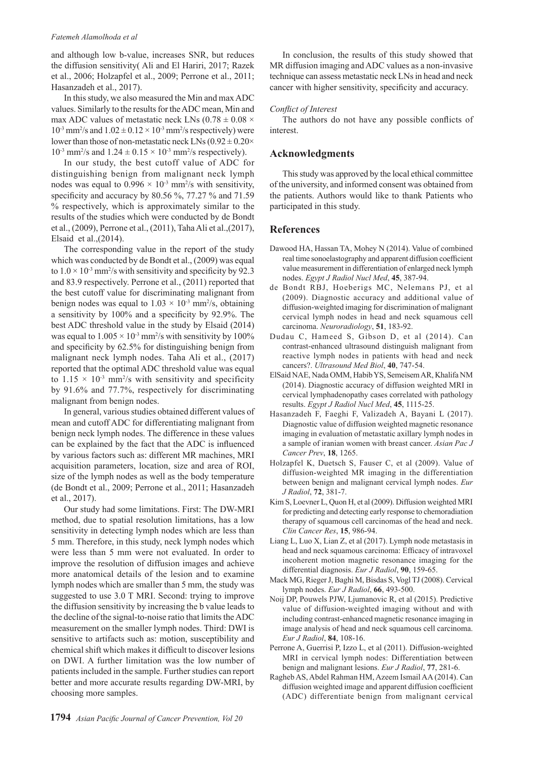#### *Fatemeh Alamolhoda et al*

and although low b-value, increases SNR, but reduces the diffusion sensitivity( Ali and El Hariri, 2017; Razek et al., 2006; Holzapfel et al., 2009; Perrone et al., 2011; Hasanzadeh et al., 2017).

In this study, we also measured the Min and max ADC values. Similarly to the results for the ADC mean, Min and max ADC values of metastatic neck LNs ( $0.78 \pm 0.08 \times$  $10^{-3}$  mm<sup>2</sup>/s and  $1.02 \pm 0.12 \times 10^{-3}$  mm<sup>2</sup>/s respectively) were lower than those of non-metastatic neck LNs  $(0.92 \pm 0.20 \times$  $10^{-3}$  mm<sup>2</sup>/s and  $1.24 \pm 0.15 \times 10^{-3}$  mm<sup>2</sup>/s respectively).

In our study, the best cutoff value of ADC for distinguishing benign from malignant neck lymph nodes was equal to  $0.996 \times 10^{-3}$  mm<sup>2</sup>/s with sensitivity, specificity and accuracy by 80.56 %, 77.27 % and 71.59 % respectively, which is approximately similar to the results of the studies which were conducted by de Bondt et al., (2009), Perrone et al., (2011), Taha Ali et al.,(2017), Elsaid et al.,(2014).

The corresponding value in the report of the study which was conducted by de Bondt et al., (2009) was equal to  $1.0 \times 10^{-3}$  mm<sup>2</sup>/s with sensitivity and specificity by 92.3 and 83.9 respectively. Perrone et al., (2011) reported that the best cutoff value for discriminating malignant from benign nodes was equal to  $1.03 \times 10^{-3}$  mm<sup>2</sup>/s, obtaining a sensitivity by 100% and a specificity by 92.9%. The best ADC threshold value in the study by Elsaid (2014) was equal to  $1.005 \times 10^{-3}$  mm<sup>2</sup>/s with sensitivity by 100% and specificity by 62.5% for distinguishing benign from malignant neck lymph nodes. Taha Ali et al., (2017) reported that the optimal ADC threshold value was equal to  $1.15 \times 10^{-3}$  mm<sup>2</sup>/s with sensitivity and specificity by 91.6% and 77.7%, respectively for discriminating malignant from benign nodes.

In general, various studies obtained different values of mean and cutoff ADC for differentiating malignant from benign neck lymph nodes. The difference in these values can be explained by the fact that the ADC is influenced by various factors such as: different MR machines, MRI acquisition parameters, location, size and area of ROI, size of the lymph nodes as well as the body temperature (de Bondt et al., 2009; Perrone et al., 2011; Hasanzadeh et al., 2017).

Our study had some limitations. First: The DW-MRI method, due to spatial resolution limitations, has a low sensitivity in detecting lymph nodes which are less than 5 mm. Therefore, in this study, neck lymph nodes which were less than 5 mm were not evaluated. In order to improve the resolution of diffusion images and achieve more anatomical details of the lesion and to examine lymph nodes which are smaller than 5 mm, the study was suggested to use 3.0 T MRI. Second: trying to improve the diffusion sensitivity by increasing the b value leads to the decline of the signal-to-noise ratio that limits the ADC measurement on the smaller lymph nodes. Third: DWI is sensitive to artifacts such as: motion, susceptibility and chemical shift which makes it difficult to discover lesions on DWI. A further limitation was the low number of patients included in the sample. Further studies can report better and more accurate results regarding DW-MRI, by choosing more samples.

In conclusion, the results of this study showed that MR diffusion imaging and ADC values as a non-invasive technique can assess metastatic neck LNs in head and neck cancer with higher sensitivity, specificity and accuracy.

## *Conflict of Interest*

The authors do not have any possible conflicts of interest.

# **Acknowledgments**

This study was approved by the local ethical committee of the university, and informed consent was obtained from the patients. Authors would like to thank Patients who participated in this study.

## **References**

- Dawood HA, Hassan TA, Mohey N (2014). Value of combined real time sonoelastography and apparent diffusion coefficient value measurement in differentiation of enlarged neck lymph nodes. *Egypt J Radiol Nucl Med*, **45**, 387-94.
- de Bondt RBJ, Hoeberigs MC, Nelemans PJ, et al (2009). Diagnostic accuracy and additional value of diffusion-weighted imaging for discrimination of malignant cervical lymph nodes in head and neck squamous cell carcinoma. *Neuroradiology*, **51**, 183-92.
- Dudau C, Hameed S, Gibson D, et al (2014). Can contrast-enhanced ultrasound distinguish malignant from reactive lymph nodes in patients with head and neck cancers?. *Ultrasound Med Biol*, **40**, 747-54.
- ElSaid NAE, Nada OMM, Habib YS, Semeisem AR, Khalifa NM (2014). Diagnostic accuracy of diffusion weighted MRI in cervical lymphadenopathy cases correlated with pathology results. *Egypt J Radiol Nucl Med*, **45**, 1115-25.
- Hasanzadeh F, Faeghi F, Valizadeh A, Bayani L (2017). Diagnostic value of diffusion weighted magnetic resonance imaging in evaluation of metastatic axillary lymph nodes in a sample of iranian women with breast cancer. *Asian Pac J Cancer Prev*, **18**, 1265.
- Holzapfel K, Duetsch S, Fauser C, et al (2009). Value of diffusion-weighted MR imaging in the differentiation between benign and malignant cervical lymph nodes. *Eur J Radiol*, **72**, 381-7.
- Kim S, Loevner L, Quon H, et al (2009). Diffusion weighted MRI for predicting and detecting early response to chemoradiation therapy of squamous cell carcinomas of the head and neck. *Clin Cancer Res*, **15**, 986-94.
- Liang L, Luo X, Lian Z, et al (2017). Lymph node metastasis in head and neck squamous carcinoma: Efficacy of intravoxel incoherent motion magnetic resonance imaging for the differential diagnosis. *Eur J Radiol*, **90**, 159-65.
- Mack MG, Rieger J, Baghi M, Bisdas S, Vogl TJ (2008). Cervical lymph nodes. *Eur J Radiol*, **66**, 493-500.
- Noij DP, Pouwels PJW, Ljumanovic R, et al (2015). Predictive value of diffusion-weighted imaging without and with including contrast-enhanced magnetic resonance imaging in image analysis of head and neck squamous cell carcinoma. *Eur J Radiol*, **84**, 108-16.
- Perrone A, Guerrisi P, Izzo L, et al (2011). Diffusion-weighted MRI in cervical lymph nodes: Differentiation between benign and malignant lesions. *Eur J Radiol*, **77**, 281-6.
- Ragheb AS, Abdel Rahman HM, Azeem Ismail AA (2014). Can diffusion weighted image and apparent diffusion coefficient (ADC) differentiate benign from malignant cervical